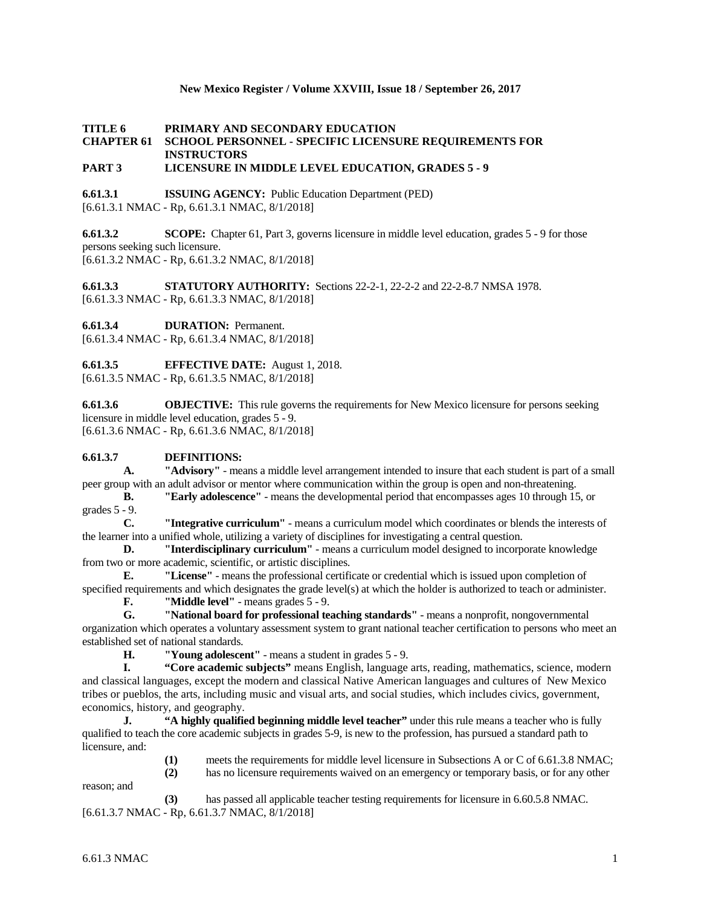### **New Mexico Register / Volume XXVIII, Issue 18 / September 26, 2017**

# **TITLE 6 PRIMARY AND SECONDARY EDUCATION CHAPTER 61 SCHOOL PERSONNEL - SPECIFIC LICENSURE REQUIREMENTS FOR INSTRUCTORS**

## **PART 3 LICENSURE IN MIDDLE LEVEL EDUCATION, GRADES 5 - 9**

**6.61.3.1 ISSUING AGENCY:** Public Education Department (PED) [6.61.3.1 NMAC - Rp, 6.61.3.1 NMAC, 8/1/2018]

**6.61.3.2 SCOPE:** Chapter 61, Part 3, governs licensure in middle level education, grades 5 - 9 for those persons seeking such licensure. [6.61.3.2 NMAC - Rp, 6.61.3.2 NMAC, 8/1/2018]

**6.61.3.3 STATUTORY AUTHORITY:** Sections 22-2-1, 22-2-2 and 22-2-8.7 NMSA 1978. [6.61.3.3 NMAC - Rp, 6.61.3.3 NMAC, 8/1/2018]

**6.61.3.4 DURATION:** Permanent.

[6.61.3.4 NMAC - Rp, 6.61.3.4 NMAC, 8/1/2018]

**6.61.3.5 EFFECTIVE DATE:** August 1, 2018.

[6.61.3.5 NMAC - Rp, 6.61.3.5 NMAC, 8/1/2018]

**6.61.3.6 OBJECTIVE:** This rule governs the requirements for New Mexico licensure for persons seeking licensure in middle level education, grades 5 - 9. [6.61.3.6 NMAC - Rp, 6.61.3.6 NMAC, 8/1/2018]

### **6.61.3.7 DEFINITIONS:**

**A. "Advisory"** - means a middle level arrangement intended to insure that each student is part of a small peer group with an adult advisor or mentor where communication within the group is open and non-threatening.

**B. "Early adolescence"** - means the developmental period that encompasses ages 10 through 15, or grades 5 - 9.

**C. "Integrative curriculum"** - means a curriculum model which coordinates or blends the interests of the learner into a unified whole, utilizing a variety of disciplines for investigating a central question.

**D. "Interdisciplinary curriculum"** - means a curriculum model designed to incorporate knowledge from two or more academic, scientific, or artistic disciplines.

**E. "License"** - means the professional certificate or credential which is issued upon completion of specified requirements and which designates the grade level(s) at which the holder is authorized to teach or administer.

**F. Widdle level''** - means grades 5 - 9.<br>**G. Wational board for professional test** 

**G. "National board for professional teaching standards"** - means a nonprofit, nongovernmental organization which operates a voluntary assessment system to grant national teacher certification to persons who meet an established set of national standards.<br> **H.** "Young adolesce

**H. "Young adolescent"** - means a student in grades 5 - 9.

**I. "Core academic subjects"** means English, language arts, reading, mathematics, science, modern and classical languages, except the modern and classical Native American languages and cultures of New Mexico tribes or pueblos, the arts, including music and visual arts, and social studies, which includes civics, government, economics, history, and geography.

**J. "A highly qualified beginning middle level teacher"** under this rule means a teacher who is fully qualified to teach the core academic subjects in grades 5-9, is new to the profession, has pursued a standard path to licensure, and:

> **(1)** meets the requirements for middle level licensure in Subsections A or C of 6.61.3.8 NMAC; **(2)** has no licensure requirements waived on an emergency or temporary basis, or for any other

reason; and

**(3)** has passed all applicable teacher testing requirements for licensure in 6.60.5.8 NMAC. [6.61.3.7 NMAC - Rp, 6.61.3.7 NMAC, 8/1/2018]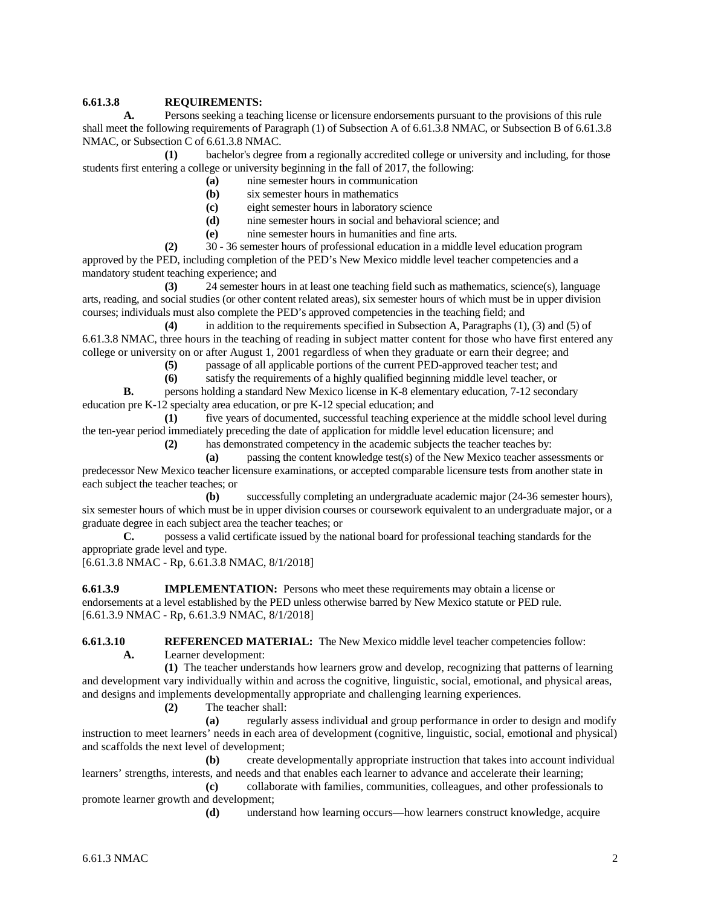### **6.61.3.8 REQUIREMENTS:**

**A.** Persons seeking a teaching license or licensure endorsements pursuant to the provisions of this rule shall meet the following requirements of Paragraph (1) of Subsection A of 6.61.3.8 NMAC, or Subsection B of 6.61.3.8 NMAC, or Subsection C of 6.61.3.8 NMAC.

**(1)** bachelor's degree from a regionally accredited college or university and including, for those students first entering a college or university beginning in the fall of 2017, the following:

- **(a)** nine semester hours in communication
- **(b)** six semester hours in mathematics
- **(c)** eight semester hours in laboratory science
- **(d)** nine semester hours in social and behavioral science; and
- **(e)** nine semester hours in humanities and fine arts.

**(2)** 30 - 36 semester hours of professional education in a middle level education program approved by the PED, including completion of the PED's New Mexico middle level teacher competencies and a mandatory student teaching experience; and

**(3)** 24 semester hours in at least one teaching field such as mathematics, science(s), language arts, reading, and social studies (or other content related areas), six semester hours of which must be in upper division courses; individuals must also complete the PED's approved competencies in the teaching field; and

**(4)** in addition to the requirements specified in Subsection A, Paragraphs (1), (3) and (5) of 6.61.3.8 NMAC, three hours in the teaching of reading in subject matter content for those who have first entered any college or university on or after August 1, 2001 regardless of when they graduate or earn their degree; and

**(5)** passage of all applicable portions of the current PED-approved teacher test; and

**(6)** satisfy the requirements of a highly qualified beginning middle level teacher, or

**B.** persons holding a standard New Mexico license in K-8 elementary education, 7-12 secondary education pre K-12 specialty area education, or pre K-12 special education; and

**(1)** five years of documented, successful teaching experience at the middle school level during the ten-year period immediately preceding the date of application for middle level education licensure; and

**(2)** has demonstrated competency in the academic subjects the teacher teaches by:

**(a)** passing the content knowledge test(s) of the New Mexico teacher assessments or predecessor New Mexico teacher licensure examinations, or accepted comparable licensure tests from another state in each subject the teacher teaches; or

**(b)** successfully completing an undergraduate academic major (24-36 semester hours), six semester hours of which must be in upper division courses or coursework equivalent to an undergraduate major, or a graduate degree in each subject area the teacher teaches; or<br> **C.** possess a valid certificate issued by the n

**C.** possess a valid certificate issued by the national board for professional teaching standards for the appropriate grade level and type.

[6.61.3.8 NMAC - Rp, 6.61.3.8 NMAC, 8/1/2018]

**6.61.3.9 IMPLEMENTATION:** Persons who meet these requirements may obtain a license or endorsements at a level established by the PED unless otherwise barred by New Mexico statute or PED rule. [6.61.3.9 NMAC - Rp, 6.61.3.9 NMAC, 8/1/2018]

**6.61.3.10 REFERENCED MATERIAL:** The New Mexico middle level teacher competencies follow: **A.** Learner development:

**(1)** The teacher understands how learners grow and develop, recognizing that patterns of learning and development vary individually within and across the cognitive, linguistic, social, emotional, and physical areas, and designs and implements developmentally appropriate and challenging learning experiences.

**(2)** The teacher shall:

**(a)** regularly assess individual and group performance in order to design and modify instruction to meet learners' needs in each area of development (cognitive, linguistic, social, emotional and physical) and scaffolds the next level of development;

**(b)** create developmentally appropriate instruction that takes into account individual learners' strengths, interests, and needs and that enables each learner to advance and accelerate their learning;

**(c)** collaborate with families, communities, colleagues, and other professionals to promote learner growth and development;

**(d)** understand how learning occurs—how learners construct knowledge, acquire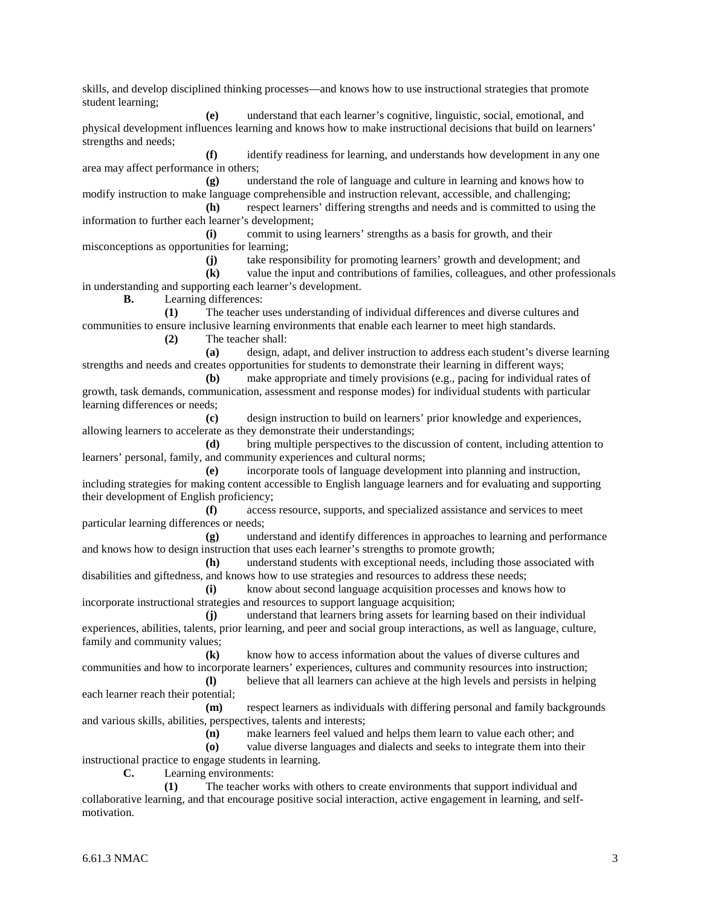skills, and develop disciplined thinking processes—and knows how to use instructional strategies that promote student learning;

**(e)** understand that each learner's cognitive, linguistic, social, emotional, and physical development influences learning and knows how to make instructional decisions that build on learners' strengths and needs;

**(f)** identify readiness for learning, and understands how development in any one area may affect performance in others;

**(g)** understand the role of language and culture in learning and knows how to modify instruction to make language comprehensible and instruction relevant, accessible, and challenging; **(h)** respect learners' differing strengths and needs and is committed to using the

information to further each learner's development;

**(i)** commit to using learners' strengths as a basis for growth, and their misconceptions as opportunities for learning;

**(j)** take responsibility for promoting learners' growth and development; and

**(k)** value the input and contributions of families, colleagues, and other professionals in understanding and supporting each learner's development.

**B.** Learning differences:

**(1)** The teacher uses understanding of individual differences and diverse cultures and communities to ensure inclusive learning environments that enable each learner to meet high standards.

**(2)** The teacher shall:

**(a)** design, adapt, and deliver instruction to address each student's diverse learning strengths and needs and creates opportunities for students to demonstrate their learning in different ways;

**(b)** make appropriate and timely provisions (e.g., pacing for individual rates of growth, task demands, communication, assessment and response modes) for individual students with particular learning differences or needs;

**(c)** design instruction to build on learners' prior knowledge and experiences, allowing learners to accelerate as they demonstrate their understandings;

**(d)** bring multiple perspectives to the discussion of content, including attention to learners' personal, family, and community experiences and cultural norms;

**(e)** incorporate tools of language development into planning and instruction, including strategies for making content accessible to English language learners and for evaluating and supporting their development of English proficiency;

**(f)** access resource, supports, and specialized assistance and services to meet particular learning differences or needs;

**(g)** understand and identify differences in approaches to learning and performance and knows how to design instruction that uses each learner's strengths to promote growth;

**(h)** understand students with exceptional needs, including those associated with disabilities and giftedness, and knows how to use strategies and resources to address these needs;

**(i)** know about second language acquisition processes and knows how to incorporate instructional strategies and resources to support language acquisition;

**(j)** understand that learners bring assets for learning based on their individual experiences, abilities, talents, prior learning, and peer and social group interactions, as well as language, culture, family and community values;

**(k)** know how to access information about the values of diverse cultures and communities and how to incorporate learners' experiences, cultures and community resources into instruction;

**(l)** believe that all learners can achieve at the high levels and persists in helping each learner reach their potential;

**(m)** respect learners as individuals with differing personal and family backgrounds and various skills, abilities, perspectives, talents and interests;

**(n)** make learners feel valued and helps them learn to value each other; and

**(o)** value diverse languages and dialects and seeks to integrate them into their instructional practice to engage students in learning.

**C.** Learning environments:

**(1)** The teacher works with others to create environments that support individual and collaborative learning, and that encourage positive social interaction, active engagement in learning, and selfmotivation.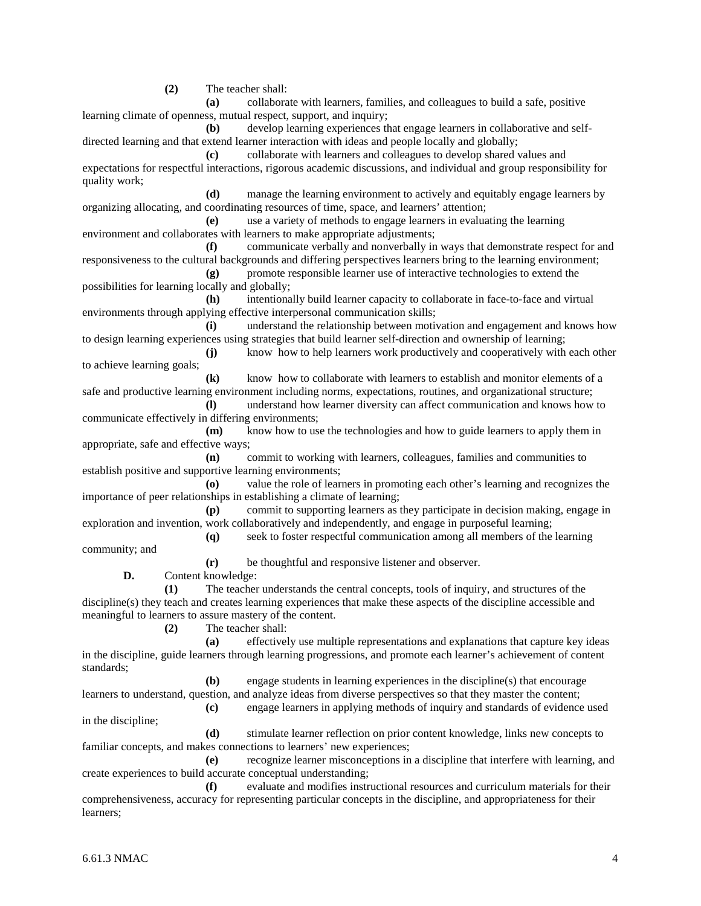**(2)** The teacher shall:

**(a)** collaborate with learners, families, and colleagues to build a safe, positive learning climate of openness, mutual respect, support, and inquiry;

**(b)** develop learning experiences that engage learners in collaborative and selfdirected learning and that extend learner interaction with ideas and people locally and globally;

**(c)** collaborate with learners and colleagues to develop shared values and expectations for respectful interactions, rigorous academic discussions, and individual and group responsibility for quality work;

**(d)** manage the learning environment to actively and equitably engage learners by organizing allocating, and coordinating resources of time, space, and learners' attention;

**(e)** use a variety of methods to engage learners in evaluating the learning environment and collaborates with learners to make appropriate adjustments;

**(f)** communicate verbally and nonverbally in ways that demonstrate respect for and responsiveness to the cultural backgrounds and differing perspectives learners bring to the learning environment;

**(g)** promote responsible learner use of interactive technologies to extend the possibilities for learning locally and globally;

**(h)** intentionally build learner capacity to collaborate in face-to-face and virtual environments through applying effective interpersonal communication skills;

**(i)** understand the relationship between motivation and engagement and knows how to design learning experiences using strategies that build learner self-direction and ownership of learning;

**(j)** know how to help learners work productively and cooperatively with each other to achieve learning goals;

**(k)** know how to collaborate with learners to establish and monitor elements of a safe and productive learning environment including norms, expectations, routines, and organizational structure;

**(l)** understand how learner diversity can affect communication and knows how to communicate effectively in differing environments;

**(m)** know how to use the technologies and how to guide learners to apply them in appropriate, safe and effective ways;

**(n)** commit to working with learners, colleagues, families and communities to establish positive and supportive learning environments;

**(o)** value the role of learners in promoting each other's learning and recognizes the importance of peer relationships in establishing a climate of learning;

**(p)** commit to supporting learners as they participate in decision making, engage in exploration and invention, work collaboratively and independently, and engage in purposeful learning;

**(q)** seek to foster respectful communication among all members of the learning

community; and

**(r)** be thoughtful and responsive listener and observer.

**D.** Content knowledge:

**(1)** The teacher understands the central concepts, tools of inquiry, and structures of the discipline(s) they teach and creates learning experiences that make these aspects of the discipline accessible and meaningful to learners to assure mastery of the content.

**(2)** The teacher shall:

**(a)** effectively use multiple representations and explanations that capture key ideas in the discipline, guide learners through learning progressions, and promote each learner's achievement of content standards;

**(b)** engage students in learning experiences in the discipline(s) that encourage

learners to understand, question, and analyze ideas from diverse perspectives so that they master the content;

**(c)** engage learners in applying methods of inquiry and standards of evidence used in the discipline;

**(d)** stimulate learner reflection on prior content knowledge, links new concepts to familiar concepts, and makes connections to learners' new experiences;

**(e)** recognize learner misconceptions in a discipline that interfere with learning, and create experiences to build accurate conceptual understanding;

**(f)** evaluate and modifies instructional resources and curriculum materials for their comprehensiveness, accuracy for representing particular concepts in the discipline, and appropriateness for their learners;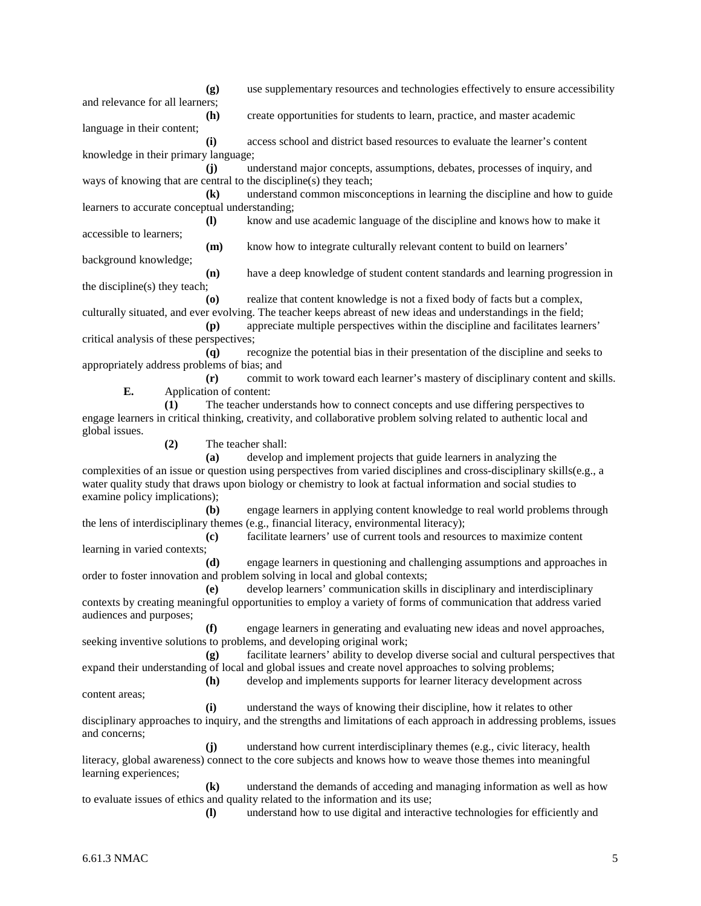**(g)** use supplementary resources and technologies effectively to ensure accessibility and relevance for all learners; **(h)** create opportunities for students to learn, practice, and master academic language in their content; **(i)** access school and district based resources to evaluate the learner's content knowledge in their primary language; **(j)** understand major concepts, assumptions, debates, processes of inquiry, and ways of knowing that are central to the discipline(s) they teach; **(k)** understand common misconceptions in learning the discipline and how to guide learners to accurate conceptual understanding; **(l)** know and use academic language of the discipline and knows how to make it accessible to learners; **(m)** know how to integrate culturally relevant content to build on learners' background knowledge; **(n)** have a deep knowledge of student content standards and learning progression in the discipline(s) they teach; **(o)** realize that content knowledge is not a fixed body of facts but a complex, culturally situated, and ever evolving. The teacher keeps abreast of new ideas and understandings in the field; **(p)** appreciate multiple perspectives within the discipline and facilitates learners' critical analysis of these perspectives; **(q)** recognize the potential bias in their presentation of the discipline and seeks to appropriately address problems of bias; and **(r)** commit to work toward each learner's mastery of disciplinary content and skills. **E.** Application of content: **(1)** The teacher understands how to connect concepts and use differing perspectives to engage learners in critical thinking, creativity, and collaborative problem solving related to authentic local and global issues. **(2)** The teacher shall: **(a)** develop and implement projects that guide learners in analyzing the complexities of an issue or question using perspectives from varied disciplines and cross-disciplinary skills(e.g., a water quality study that draws upon biology or chemistry to look at factual information and social studies to examine policy implications); **(b)** engage learners in applying content knowledge to real world problems through the lens of interdisciplinary themes (e.g., financial literacy, environmental literacy); **(c)** facilitate learners' use of current tools and resources to maximize content learning in varied contexts; **(d)** engage learners in questioning and challenging assumptions and approaches in order to foster innovation and problem solving in local and global contexts; **(e)** develop learners' communication skills in disciplinary and interdisciplinary contexts by creating meaningful opportunities to employ a variety of forms of communication that address varied audiences and purposes; **(f)** engage learners in generating and evaluating new ideas and novel approaches, seeking inventive solutions to problems, and developing original work; **(g)** facilitate learners' ability to develop diverse social and cultural perspectives that expand their understanding of local and global issues and create novel approaches to solving problems; **(h)** develop and implements supports for learner literacy development across content areas; **(i)** understand the ways of knowing their discipline, how it relates to other disciplinary approaches to inquiry, and the strengths and limitations of each approach in addressing problems, issues and concerns; **(j)** understand how current interdisciplinary themes (e.g., civic literacy, health literacy, global awareness) connect to the core subjects and knows how to weave those themes into meaningful learning experiences; **(k)** understand the demands of acceding and managing information as well as how to evaluate issues of ethics and quality related to the information and its use; **(l)** understand how to use digital and interactive technologies for efficiently and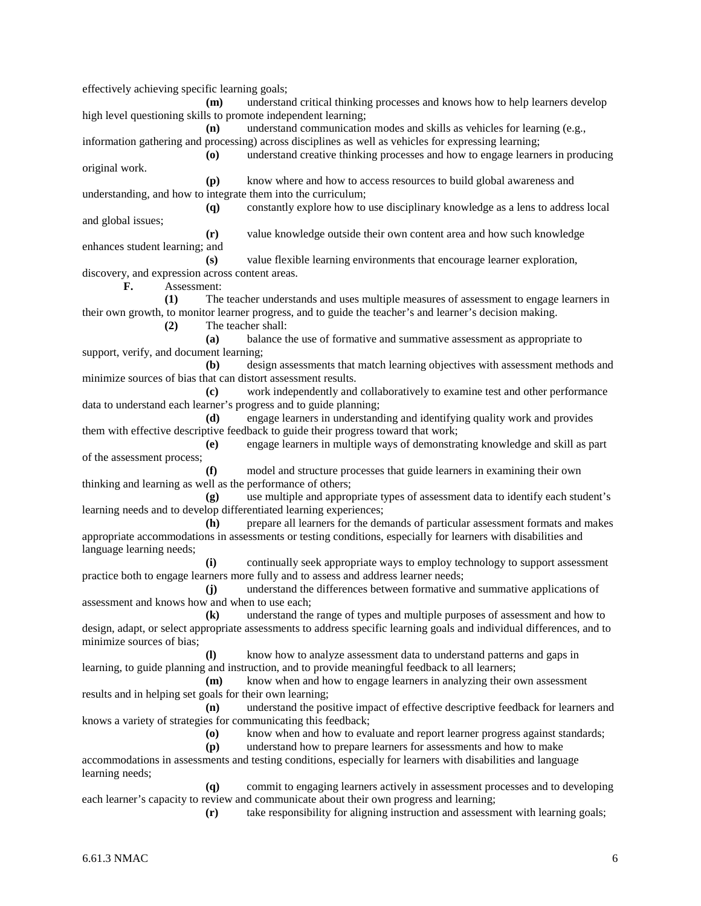effectively achieving specific learning goals; **(m)** understand critical thinking processes and knows how to help learners develop high level questioning skills to promote independent learning; **(n)** understand communication modes and skills as vehicles for learning (e.g., information gathering and processing) across disciplines as well as vehicles for expressing learning; **(o)** understand creative thinking processes and how to engage learners in producing original work. **(p)** know where and how to access resources to build global awareness and understanding, and how to integrate them into the curriculum; **(q)** constantly explore how to use disciplinary knowledge as a lens to address local and global issues; **(r)** value knowledge outside their own content area and how such knowledge enhances student learning; and **(s)** value flexible learning environments that encourage learner exploration, discovery, and expression across content areas. **F.** Assessment: **(1)** The teacher understands and uses multiple measures of assessment to engage learners in their own growth, to monitor learner progress, and to guide the teacher's and learner's decision making. **(2)** The teacher shall: **(a)** balance the use of formative and summative assessment as appropriate to support, verify, and document learning; **(b)** design assessments that match learning objectives with assessment methods and minimize sources of bias that can distort assessment results. **(c)** work independently and collaboratively to examine test and other performance data to understand each learner's progress and to guide planning; **(d)** engage learners in understanding and identifying quality work and provides them with effective descriptive feedback to guide their progress toward that work; **(e)** engage learners in multiple ways of demonstrating knowledge and skill as part of the assessment process; **(f)** model and structure processes that guide learners in examining their own thinking and learning as well as the performance of others; **(g)** use multiple and appropriate types of assessment data to identify each student's learning needs and to develop differentiated learning experiences; **(h)** prepare all learners for the demands of particular assessment formats and makes appropriate accommodations in assessments or testing conditions, especially for learners with disabilities and language learning needs; **(i)** continually seek appropriate ways to employ technology to support assessment practice both to engage learners more fully and to assess and address learner needs; **(j)** understand the differences between formative and summative applications of assessment and knows how and when to use each; **(k)** understand the range of types and multiple purposes of assessment and how to design, adapt, or select appropriate assessments to address specific learning goals and individual differences, and to minimize sources of bias; **(l)** know how to analyze assessment data to understand patterns and gaps in learning, to guide planning and instruction, and to provide meaningful feedback to all learners; **(m)** know when and how to engage learners in analyzing their own assessment results and in helping set goals for their own learning; **(n)** understand the positive impact of effective descriptive feedback for learners and knows a variety of strategies for communicating this feedback; **(o)** know when and how to evaluate and report learner progress against standards; **(p)** understand how to prepare learners for assessments and how to make accommodations in assessments and testing conditions, especially for learners with disabilities and language learning needs; **(q)** commit to engaging learners actively in assessment processes and to developing each learner's capacity to review and communicate about their own progress and learning; **(r)** take responsibility for aligning instruction and assessment with learning goals;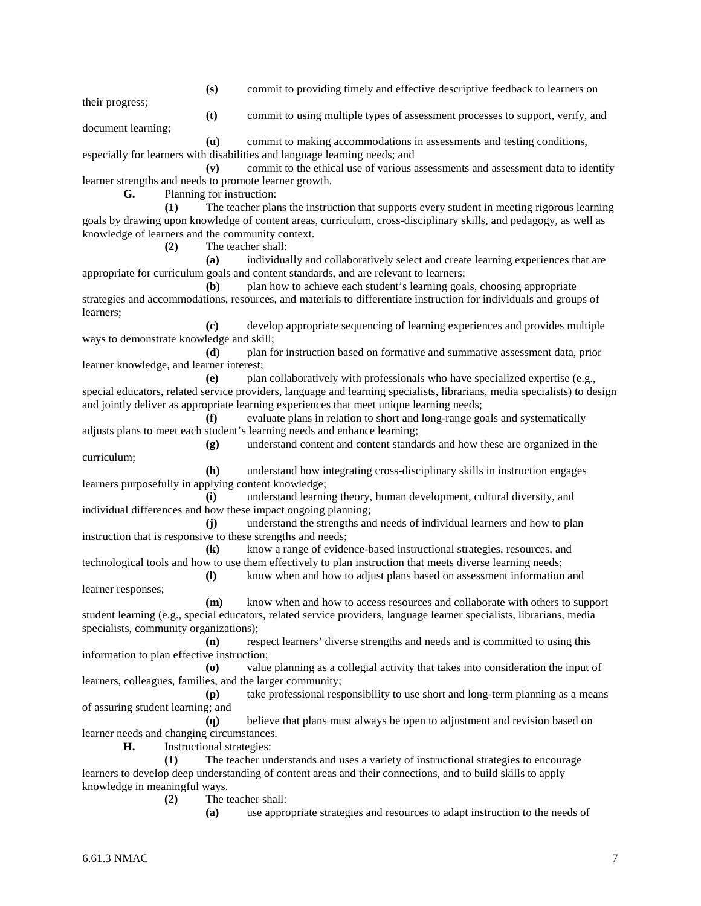**(s)** commit to providing timely and effective descriptive feedback to learners on

their progress;

**(t)** commit to using multiple types of assessment processes to support, verify, and

document learning;

**(u)** commit to making accommodations in assessments and testing conditions, especially for learners with disabilities and language learning needs; and **(v)** commit to the ethical use of various assessments and assessment data to identify

learner strengths and needs to promote learner growth.

**G.** Planning for instruction:

**(1)** The teacher plans the instruction that supports every student in meeting rigorous learning goals by drawing upon knowledge of content areas, curriculum, cross-disciplinary skills, and pedagogy, as well as knowledge of learners and the community context.

**(2)** The teacher shall:

**(a)** individually and collaboratively select and create learning experiences that are appropriate for curriculum goals and content standards, and are relevant to learners;

**(b)** plan how to achieve each student's learning goals, choosing appropriate strategies and accommodations, resources, and materials to differentiate instruction for individuals and groups of learners;

**(c)** develop appropriate sequencing of learning experiences and provides multiple ways to demonstrate knowledge and skill;

**(d)** plan for instruction based on formative and summative assessment data, prior learner knowledge, and learner interest;

**(e)** plan collaboratively with professionals who have specialized expertise (e.g., special educators, related service providers, language and learning specialists, librarians, media specialists) to design and jointly deliver as appropriate learning experiences that meet unique learning needs;

**(f)** evaluate plans in relation to short and long-range goals and systematically adjusts plans to meet each student's learning needs and enhance learning;

**(g)** understand content and content standards and how these are organized in the curriculum;

**(h)** understand how integrating cross-disciplinary skills in instruction engages learners purposefully in applying content knowledge;

**(i)** understand learning theory, human development, cultural diversity, and individual differences and how these impact ongoing planning;

**(j)** understand the strengths and needs of individual learners and how to plan instruction that is responsive to these strengths and needs;

**(k)** know a range of evidence-based instructional strategies, resources, and technological tools and how to use them effectively to plan instruction that meets diverse learning needs;

**(l)** know when and how to adjust plans based on assessment information and learner responses;

**(m)** know when and how to access resources and collaborate with others to support student learning (e.g., special educators, related service providers, language learner specialists, librarians, media specialists, community organizations);

**(n)** respect learners' diverse strengths and needs and is committed to using this information to plan effective instruction;

**(o)** value planning as a collegial activity that takes into consideration the input of learners, colleagues, families, and the larger community;

**(p)** take professional responsibility to use short and long-term planning as a means of assuring student learning; and

**(q)** believe that plans must always be open to adjustment and revision based on learner needs and changing circumstances.

**H.** Instructional strategies:

**(1)** The teacher understands and uses a variety of instructional strategies to encourage learners to develop deep understanding of content areas and their connections, and to build skills to apply knowledge in meaningful ways.

**(2)** The teacher shall:

**(a)** use appropriate strategies and resources to adapt instruction to the needs of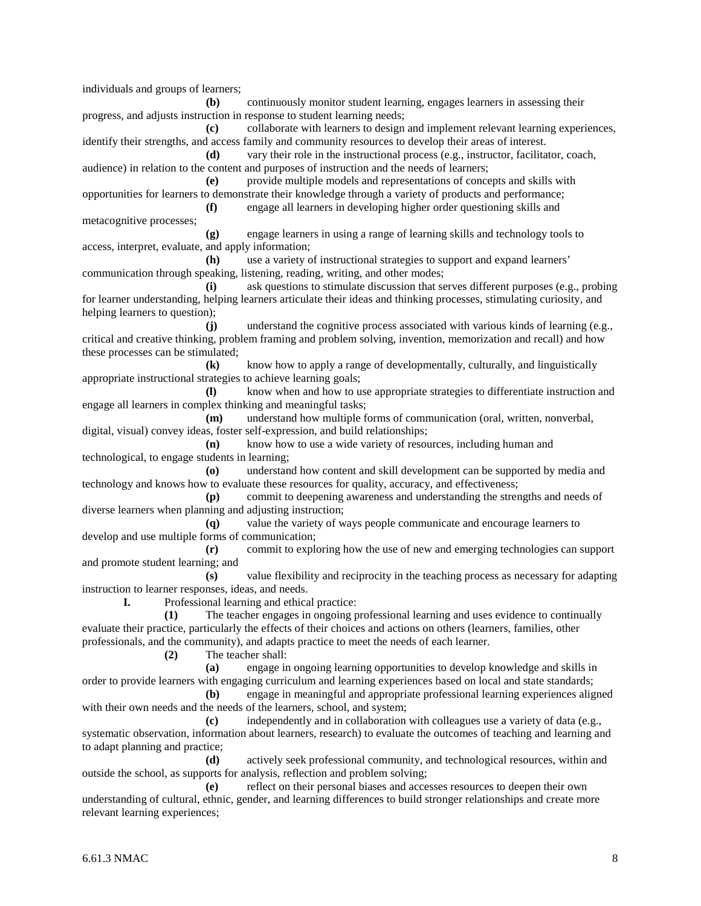individuals and groups of learners;

**(b)** continuously monitor student learning, engages learners in assessing their progress, and adjusts instruction in response to student learning needs;

**(c)** collaborate with learners to design and implement relevant learning experiences, identify their strengths, and access family and community resources to develop their areas of interest.

**(d)** vary their role in the instructional process (e.g., instructor, facilitator, coach, audience) in relation to the content and purposes of instruction and the needs of learners;

**(e)** provide multiple models and representations of concepts and skills with opportunities for learners to demonstrate their knowledge through a variety of products and performance; **(f)** engage all learners in developing higher order questioning skills and

metacognitive processes;

**(g)** engage learners in using a range of learning skills and technology tools to access, interpret, evaluate, and apply information;

**(h)** use a variety of instructional strategies to support and expand learners' communication through speaking, listening, reading, writing, and other modes;

**(i)** ask questions to stimulate discussion that serves different purposes (e.g., probing for learner understanding, helping learners articulate their ideas and thinking processes, stimulating curiosity, and helping learners to question);

**(j)** understand the cognitive process associated with various kinds of learning (e.g., critical and creative thinking, problem framing and problem solving, invention, memorization and recall) and how these processes can be stimulated;

**(k)** know how to apply a range of developmentally, culturally, and linguistically appropriate instructional strategies to achieve learning goals;

**(l)** know when and how to use appropriate strategies to differentiate instruction and engage all learners in complex thinking and meaningful tasks;

**(m)** understand how multiple forms of communication (oral, written, nonverbal, digital, visual) convey ideas, foster self-expression, and build relationships;

**(n)** know how to use a wide variety of resources, including human and technological, to engage students in learning;

**(o)** understand how content and skill development can be supported by media and technology and knows how to evaluate these resources for quality, accuracy, and effectiveness;

**(p)** commit to deepening awareness and understanding the strengths and needs of diverse learners when planning and adjusting instruction;

**(q)** value the variety of ways people communicate and encourage learners to develop and use multiple forms of communication;

**(r)** commit to exploring how the use of new and emerging technologies can support and promote student learning; and

**(s)** value flexibility and reciprocity in the teaching process as necessary for adapting instruction to learner responses, ideas, and needs.

**I.** Professional learning and ethical practice:

**(1)** The teacher engages in ongoing professional learning and uses evidence to continually evaluate their practice, particularly the effects of their choices and actions on others (learners, families, other professionals, and the community), and adapts practice to meet the needs of each learner.

**(2)** The teacher shall:

**(a)** engage in ongoing learning opportunities to develop knowledge and skills in order to provide learners with engaging curriculum and learning experiences based on local and state standards;

**(b)** engage in meaningful and appropriate professional learning experiences aligned with their own needs and the needs of the learners, school, and system;

**(c)** independently and in collaboration with colleagues use a variety of data (e.g., systematic observation, information about learners, research) to evaluate the outcomes of teaching and learning and to adapt planning and practice;

**(d)** actively seek professional community, and technological resources, within and outside the school, as supports for analysis, reflection and problem solving;

**(e)** reflect on their personal biases and accesses resources to deepen their own understanding of cultural, ethnic, gender, and learning differences to build stronger relationships and create more relevant learning experiences;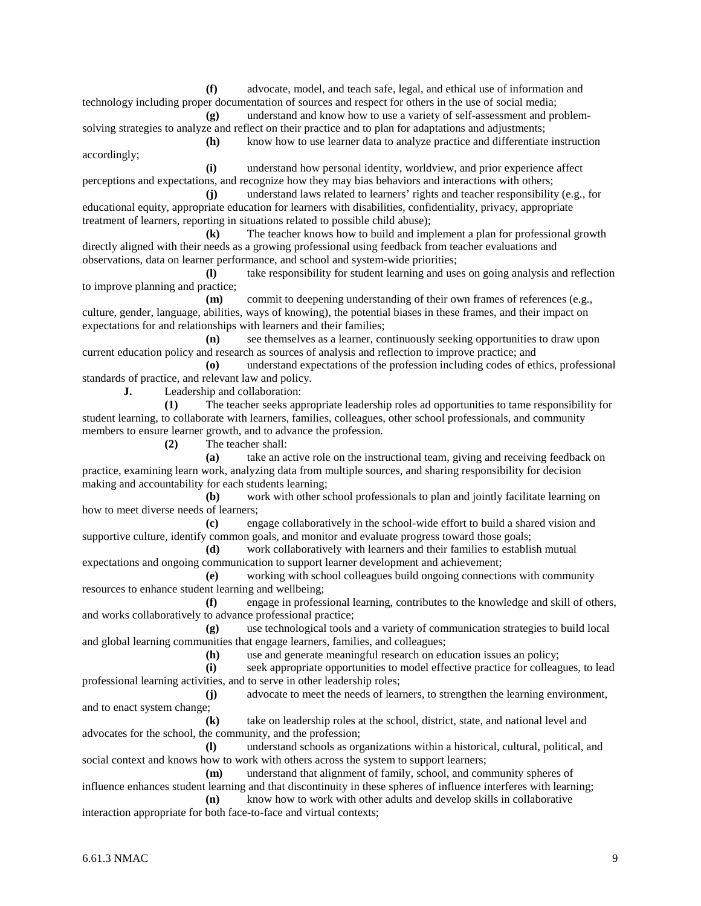**(f)** advocate, model, and teach safe, legal, and ethical use of information and technology including proper documentation of sources and respect for others in the use of social media;

**(g)** understand and know how to use a variety of self-assessment and problemsolving strategies to analyze and reflect on their practice and to plan for adaptations and adjustments; **(h)** know how to use learner data to analyze practice and differentiate instruction

accordingly;

**(i)** understand how personal identity, worldview, and prior experience affect perceptions and expectations, and recognize how they may bias behaviors and interactions with others;

**(j)** understand laws related to learners' rights and teacher responsibility (e.g., for educational equity, appropriate education for learners with disabilities, confidentiality, privacy, appropriate treatment of learners, reporting in situations related to possible child abuse);

**(k)** The teacher knows how to build and implement a plan for professional growth directly aligned with their needs as a growing professional using feedback from teacher evaluations and observations, data on learner performance, and school and system-wide priorities;

**(l)** take responsibility for student learning and uses on going analysis and reflection to improve planning and practice;

**(m)** commit to deepening understanding of their own frames of references (e.g., culture, gender, language, abilities, ways of knowing), the potential biases in these frames, and their impact on expectations for and relationships with learners and their families;

**(n)** see themselves as a learner, continuously seeking opportunities to draw upon current education policy and research as sources of analysis and reflection to improve practice; and

**(o)** understand expectations of the profession including codes of ethics, professional standards of practice, and relevant law and policy.

**J.** Leadership and collaboration:

**(1)** The teacher seeks appropriate leadership roles ad opportunities to tame responsibility for student learning, to collaborate with learners, families, colleagues, other school professionals, and community members to ensure learner growth, and to advance the profession.

**(2)** The teacher shall:

**(a)** take an active role on the instructional team, giving and receiving feedback on practice, examining learn work, analyzing data from multiple sources, and sharing responsibility for decision making and accountability for each students learning;

**(b)** work with other school professionals to plan and jointly facilitate learning on how to meet diverse needs of learners;

**(c)** engage collaboratively in the school-wide effort to build a shared vision and supportive culture, identify common goals, and monitor and evaluate progress toward those goals;

**(d)** work collaboratively with learners and their families to establish mutual expectations and ongoing communication to support learner development and achievement;

**(e)** working with school colleagues build ongoing connections with community resources to enhance student learning and wellbeing;

**(f)** engage in professional learning, contributes to the knowledge and skill of others, and works collaboratively to advance professional practice;

**(g)** use technological tools and a variety of communication strategies to build local and global learning communities that engage learners, families, and colleagues;<br>(h) use and generate meaningful research on ed

use and generate meaningful research on education issues an policy;

**(i)** seek appropriate opportunities to model effective practice for colleagues, to lead professional learning activities, and to serve in other leadership roles;

**(j)** advocate to meet the needs of learners, to strengthen the learning environment, and to enact system change;

**(k)** take on leadership roles at the school, district, state, and national level and advocates for the school, the community, and the profession;

**(l)** understand schools as organizations within a historical, cultural, political, and social context and knows how to work with others across the system to support learners;

**(m)** understand that alignment of family, school, and community spheres of influence enhances student learning and that discontinuity in these spheres of influence interferes with learning;

**(n)** know how to work with other adults and develop skills in collaborative interaction appropriate for both face-to-face and virtual contexts;